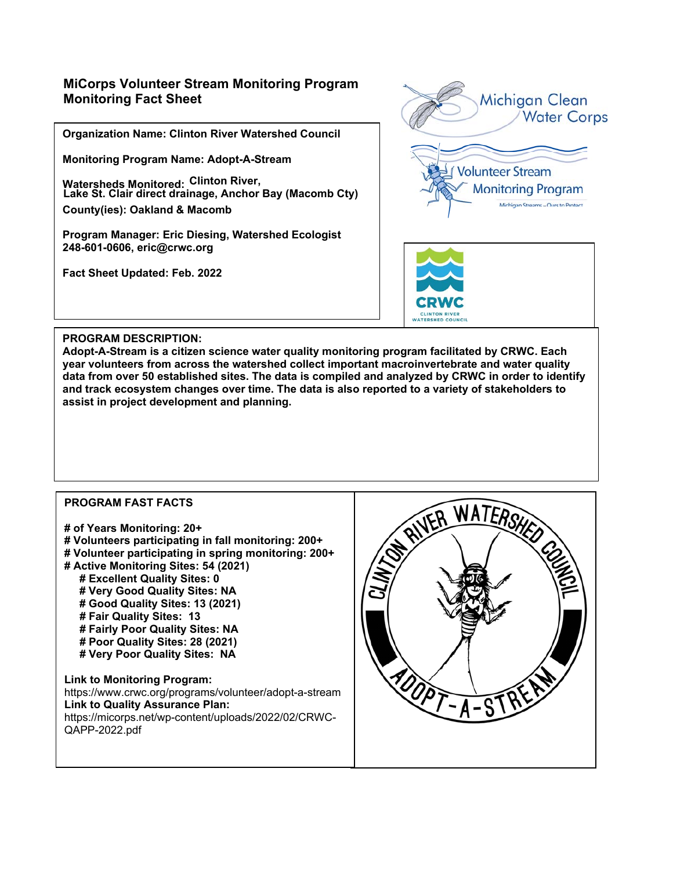# **MiCorps Volunteer Stream Monitoring Program Monitoring Fact Sheet**

**Organization Name: Clinton River Watershed Council** 

**Monitoring Program Name: Adopt-A-Stream** 

**Watersheds Monitored: Clinton River, County(ies): Oakland & Macomb Lake St. Clair direct drainage, Anchor Bay (Macomb Cty)** 

**Program Manager: Eric Diesing, Watershed Ecologist 248-601-0606, eric@crwc.org** 

**Fact Sheet Updated: Feb. 2022** 





#### **PROGRAM DESCRIPTION:**

**Adopt-A-Stream is a citizen science water quality monitoring program facilitated by CRWC. Each year volunteers from across the watershed collect important macroinvertebrate and water quality data from over 50 established sites. The data is compiled and analyzed by CRWC in order to identify and track ecosystem changes over time. The data is also reported to a variety of stakeholders to assist in project development and planning.**

### **PROGRAM FAST FACTS**

- **# of Years Monitoring: 20+**
- **# Volunteers participating in fall monitoring: 200+**
- **# Volunteer participating in spring monitoring: 200+**
- **# Active Monitoring Sites: 54 (2021)** 
	- **# Excellent Quality Sites: 0 # Very Good Quality Sites: NA**
	- **# Good Quality Sites: 13 (2021)**
	- **# Fair Quality Sites: 13**
	- **# Fairly Poor Quality Sites: NA**
	- **# Poor Quality Sites: 28 (2021)**
	- **# Very Poor Quality Sites: NA**

**Link to Monitoring Program:**  https://www.crwc.org/programs/volunteer/adopt-a-stream **Link to Quality Assurance Plan:**  https://micorps.net/wp-content/uploads/2022/02/CRWC-QAPP-2022.pdf